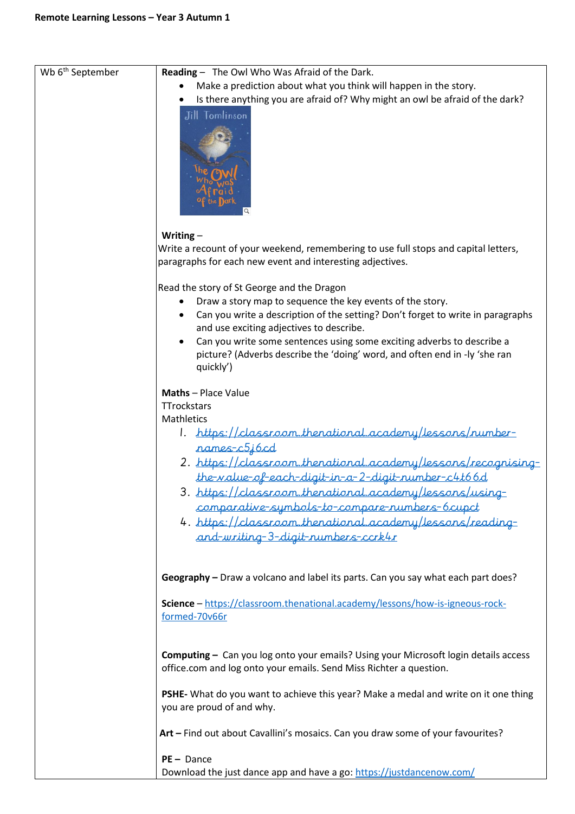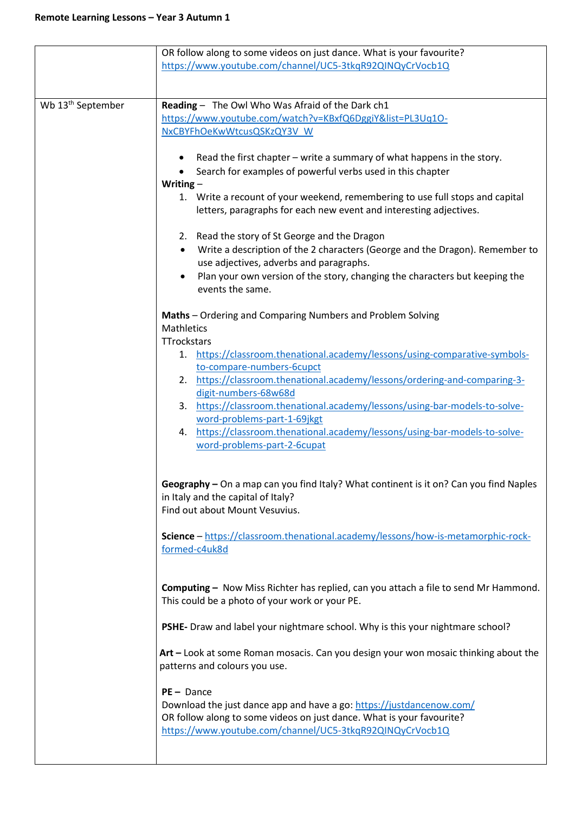|                               | OR follow along to some videos on just dance. What is your favourite?                                                                               |
|-------------------------------|-----------------------------------------------------------------------------------------------------------------------------------------------------|
|                               | https://www.youtube.com/channel/UC5-3tkqR92QINQyCrVocb1Q                                                                                            |
|                               |                                                                                                                                                     |
| Wb 13 <sup>th</sup> September | Reading - The Owl Who Was Afraid of the Dark ch1                                                                                                    |
|                               | https://www.youtube.com/watch?v=KBxfQ6DggiY&list=PL3Uq10-                                                                                           |
|                               | NxCBYFhOeKwWtcusQSKzQY3V W                                                                                                                          |
|                               |                                                                                                                                                     |
|                               | Read the first chapter – write a summary of what happens in the story.                                                                              |
|                               | Search for examples of powerful verbs used in this chapter                                                                                          |
|                               | Writing $-$                                                                                                                                         |
|                               | 1. Write a recount of your weekend, remembering to use full stops and capital<br>letters, paragraphs for each new event and interesting adjectives. |
|                               |                                                                                                                                                     |
|                               | 2. Read the story of St George and the Dragon                                                                                                       |
|                               | Write a description of the 2 characters (George and the Dragon). Remember to<br>$\bullet$                                                           |
|                               | use adjectives, adverbs and paragraphs.                                                                                                             |
|                               | Plan your own version of the story, changing the characters but keeping the                                                                         |
|                               | events the same.                                                                                                                                    |
|                               | Maths - Ordering and Comparing Numbers and Problem Solving                                                                                          |
|                               | <b>Mathletics</b>                                                                                                                                   |
|                               | TTrockstars                                                                                                                                         |
|                               | https://classroom.thenational.academy/lessons/using-comparative-symbols-<br>1.                                                                      |
|                               | to-compare-numbers-6cupct                                                                                                                           |
|                               | 2. https://classroom.thenational.academy/lessons/ordering-and-comparing-3-                                                                          |
|                               | digit-numbers-68w68d<br>https://classroom.thenational.academy/lessons/using-bar-models-to-solve-<br>3.                                              |
|                               | word-problems-part-1-69jkgt                                                                                                                         |
|                               | https://classroom.thenational.academy/lessons/using-bar-models-to-solve-<br>4.                                                                      |
|                               | word-problems-part-2-6cupat                                                                                                                         |
|                               |                                                                                                                                                     |
|                               |                                                                                                                                                     |
|                               | Geography - On a map can you find Italy? What continent is it on? Can you find Naples                                                               |
|                               | in Italy and the capital of Italy?<br>Find out about Mount Vesuvius.                                                                                |
|                               |                                                                                                                                                     |
|                               | Science - https://classroom.thenational.academy/lessons/how-is-metamorphic-rock-                                                                    |
|                               | formed-c4uk8d                                                                                                                                       |
|                               |                                                                                                                                                     |
|                               |                                                                                                                                                     |
|                               | <b>Computing -</b> Now Miss Richter has replied, can you attach a file to send Mr Hammond.<br>This could be a photo of your work or your PE.        |
|                               |                                                                                                                                                     |
|                               | PSHE- Draw and label your nightmare school. Why is this your nightmare school?                                                                      |
|                               |                                                                                                                                                     |
|                               | Art - Look at some Roman mosacis. Can you design your won mosaic thinking about the                                                                 |
|                               | patterns and colours you use.                                                                                                                       |
|                               | $PE - Dance$                                                                                                                                        |
|                               | Download the just dance app and have a go: https://justdancenow.com/                                                                                |
|                               | OR follow along to some videos on just dance. What is your favourite?                                                                               |
|                               | https://www.youtube.com/channel/UC5-3tkqR92QINQyCrVocb1Q                                                                                            |
|                               |                                                                                                                                                     |
|                               |                                                                                                                                                     |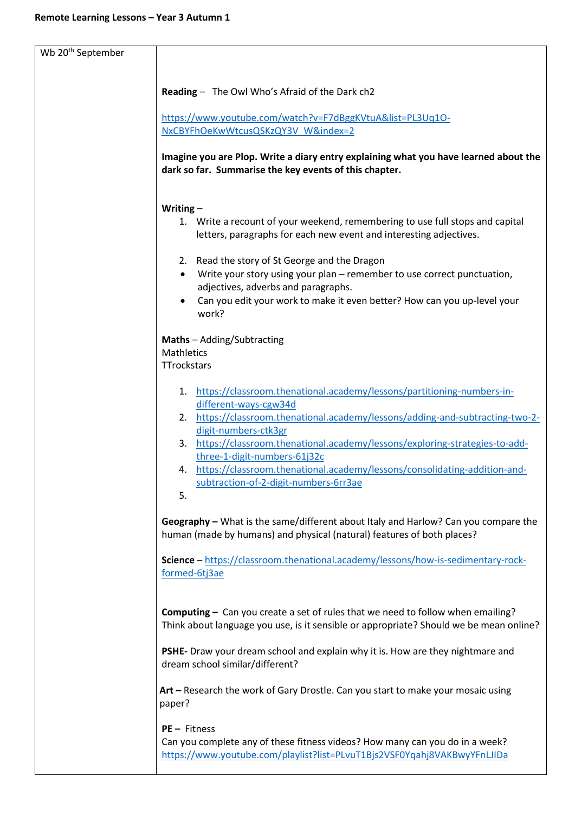| Wb 20 <sup>th</sup> September |                                                                                                                                                                                    |
|-------------------------------|------------------------------------------------------------------------------------------------------------------------------------------------------------------------------------|
|                               |                                                                                                                                                                                    |
|                               | Reading - The Owl Who's Afraid of the Dark ch2                                                                                                                                     |
|                               | https://www.youtube.com/watch?v=F7dBggKVtuA&list=PL3Uq10-                                                                                                                          |
|                               | NxCBYFhOeKwWtcusQSKzQY3V W&index=2                                                                                                                                                 |
|                               |                                                                                                                                                                                    |
|                               | Imagine you are Plop. Write a diary entry explaining what you have learned about the<br>dark so far. Summarise the key events of this chapter.                                     |
|                               | Writing $-$                                                                                                                                                                        |
|                               | 1. Write a recount of your weekend, remembering to use full stops and capital<br>letters, paragraphs for each new event and interesting adjectives.                                |
|                               | 2. Read the story of St George and the Dragon                                                                                                                                      |
|                               | Write your story using your plan - remember to use correct punctuation,<br>$\bullet$                                                                                               |
|                               | adjectives, adverbs and paragraphs.                                                                                                                                                |
|                               | Can you edit your work to make it even better? How can you up-level your<br>$\bullet$<br>work?                                                                                     |
|                               | Maths - Adding/Subtracting                                                                                                                                                         |
|                               | <b>Mathletics</b>                                                                                                                                                                  |
|                               | <b>TTrockstars</b>                                                                                                                                                                 |
|                               | 1. https://classroom.thenational.academy/lessons/partitioning-numbers-in-<br>different-ways-cgw34d                                                                                 |
|                               | 2. https://classroom.thenational.academy/lessons/adding-and-subtracting-two-2-<br>digit-numbers-ctk3gr                                                                             |
|                               | 3. https://classroom.thenational.academy/lessons/exploring-strategies-to-add-<br>three-1-digit-numbers-61j32c                                                                      |
|                               | 4. https://classroom.thenational.academy/lessons/consolidating-addition-and-                                                                                                       |
|                               | subtraction-of-2-digit-numbers-6rr3ae<br>5.                                                                                                                                        |
|                               |                                                                                                                                                                                    |
|                               | Geography - What is the same/different about Italy and Harlow? Can you compare the<br>human (made by humans) and physical (natural) features of both places?                       |
|                               | Science - https://classroom.thenational.academy/lessons/how-is-sedimentary-rock-<br>formed-6tj3ae                                                                                  |
|                               |                                                                                                                                                                                    |
|                               | <b>Computing</b> $-$ Can you create a set of rules that we need to follow when emailing?<br>Think about language you use, is it sensible or appropriate? Should we be mean online? |
|                               | PSHE- Draw your dream school and explain why it is. How are they nightmare and<br>dream school similar/different?                                                                  |
|                               | Art - Research the work of Gary Drostle. Can you start to make your mosaic using<br>paper?                                                                                         |
|                               | PE - Fitness                                                                                                                                                                       |
|                               | Can you complete any of these fitness videos? How many can you do in a week?<br>https://www.youtube.com/playlist?list=PLvuT1Bjs2VSF0Yqahj8VAKBwyYFnLJIDa                           |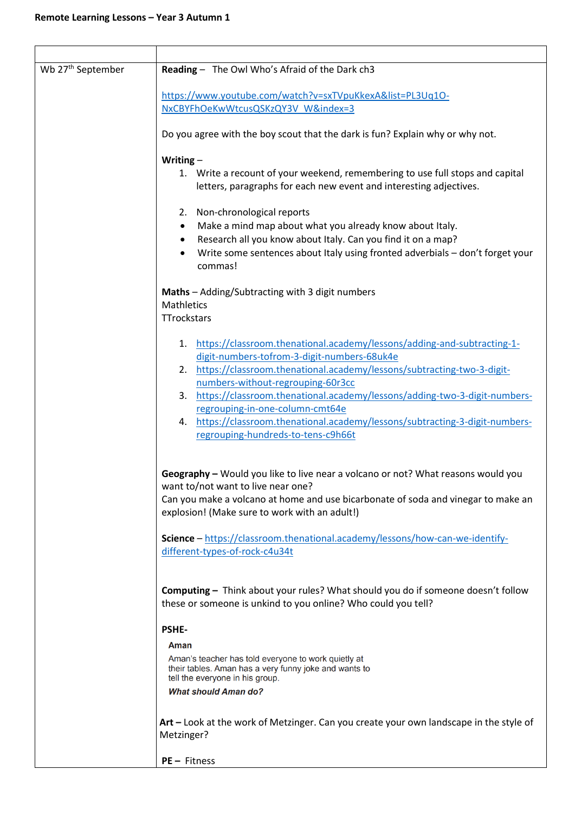| Wb 27 <sup>th</sup> September | Reading - The Owl Who's Afraid of the Dark ch3                                                                                                           |
|-------------------------------|----------------------------------------------------------------------------------------------------------------------------------------------------------|
|                               | https://www.youtube.com/watch?v=sxTVpuKkexA&list=PL3Uq10-                                                                                                |
|                               | NxCBYFhOeKwWtcusQSKzQY3V W&index=3                                                                                                                       |
|                               |                                                                                                                                                          |
|                               | Do you agree with the boy scout that the dark is fun? Explain why or why not.                                                                            |
|                               | Writing $-$                                                                                                                                              |
|                               | 1. Write a recount of your weekend, remembering to use full stops and capital<br>letters, paragraphs for each new event and interesting adjectives.      |
|                               |                                                                                                                                                          |
|                               | 2. Non-chronological reports<br>Make a mind map about what you already know about Italy.<br>$\bullet$                                                    |
|                               | Research all you know about Italy. Can you find it on a map?<br>$\bullet$                                                                                |
|                               | Write some sentences about Italy using fronted adverbials - don't forget your<br>commas!                                                                 |
|                               | Maths - Adding/Subtracting with 3 digit numbers                                                                                                          |
|                               | <b>Mathletics</b><br>TTrockstars                                                                                                                         |
|                               |                                                                                                                                                          |
|                               | 1. https://classroom.thenational.academy/lessons/adding-and-subtracting-1-                                                                               |
|                               | digit-numbers-tofrom-3-digit-numbers-68uk4e                                                                                                              |
|                               | https://classroom.thenational.academy/lessons/subtracting-two-3-digit-<br>2.                                                                             |
|                               | numbers-without-regrouping-60r3cc                                                                                                                        |
|                               | 3. https://classroom.thenational.academy/lessons/adding-two-3-digit-numbers-                                                                             |
|                               | regrouping-in-one-column-cmt64e                                                                                                                          |
|                               | 4. https://classroom.thenational.academy/lessons/subtracting-3-digit-numbers-                                                                            |
|                               | regrouping-hundreds-to-tens-c9h66t                                                                                                                       |
|                               |                                                                                                                                                          |
|                               | Geography - Would you like to live near a volcano or not? What reasons would you                                                                         |
|                               | want to/not want to live near one?                                                                                                                       |
|                               | Can you make a volcano at home and use bicarbonate of soda and vinegar to make an                                                                        |
|                               | explosion! (Make sure to work with an adult!)                                                                                                            |
|                               | Science - https://classroom.thenational.academy/lessons/how-can-we-identify-<br>different-types-of-rock-c4u34t                                           |
|                               |                                                                                                                                                          |
|                               | <b>Computing</b> - Think about your rules? What should you do if someone doesn't follow<br>these or someone is unkind to you online? Who could you tell? |
|                               | <b>PSHE-</b>                                                                                                                                             |
|                               | Aman                                                                                                                                                     |
|                               | Aman's teacher has told everyone to work quietly at                                                                                                      |
|                               | their tables. Aman has a very funny joke and wants to<br>tell the everyone in his group.                                                                 |
|                               | <b>What should Aman do?</b>                                                                                                                              |
|                               | Art – Look at the work of Metzinger. Can you create your own landscape in the style of<br>Metzinger?                                                     |
|                               |                                                                                                                                                          |
|                               | PE - Fitness                                                                                                                                             |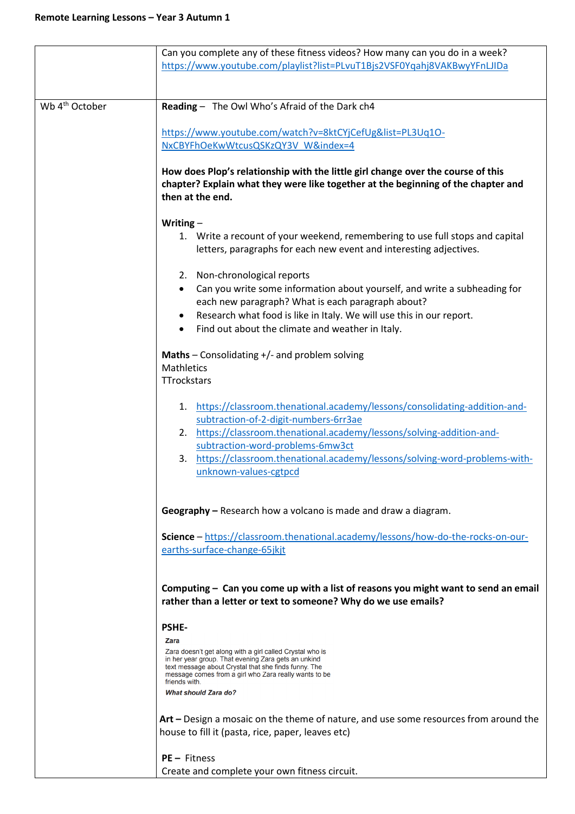|                            | Can you complete any of these fitness videos? How many can you do in a week?<br>https://www.youtube.com/playlist?list=PLvuT1Bjs2VSF0Yqahj8VAKBwyYFnLJIDa                                                                                                                                                                                              |
|----------------------------|-------------------------------------------------------------------------------------------------------------------------------------------------------------------------------------------------------------------------------------------------------------------------------------------------------------------------------------------------------|
| Wb 4 <sup>th</sup> October | Reading - The Owl Who's Afraid of the Dark ch4                                                                                                                                                                                                                                                                                                        |
|                            | https://www.youtube.com/watch?v=8ktCYjCefUg&list=PL3Uq10-                                                                                                                                                                                                                                                                                             |
|                            | NxCBYFhOeKwWtcusQSKzQY3V W&index=4                                                                                                                                                                                                                                                                                                                    |
|                            | How does Plop's relationship with the little girl change over the course of this<br>chapter? Explain what they were like together at the beginning of the chapter and<br>then at the end.                                                                                                                                                             |
|                            | Writing $-$                                                                                                                                                                                                                                                                                                                                           |
|                            | 1. Write a recount of your weekend, remembering to use full stops and capital<br>letters, paragraphs for each new event and interesting adjectives.                                                                                                                                                                                                   |
|                            | 2. Non-chronological reports                                                                                                                                                                                                                                                                                                                          |
|                            | Can you write some information about yourself, and write a subheading for<br>$\bullet$                                                                                                                                                                                                                                                                |
|                            | each new paragraph? What is each paragraph about?<br>Research what food is like in Italy. We will use this in our report.                                                                                                                                                                                                                             |
|                            | Find out about the climate and weather in Italy.                                                                                                                                                                                                                                                                                                      |
|                            |                                                                                                                                                                                                                                                                                                                                                       |
|                            | Maths - Consolidating +/- and problem solving<br><b>Mathletics</b>                                                                                                                                                                                                                                                                                    |
|                            | <b>TTrockstars</b>                                                                                                                                                                                                                                                                                                                                    |
|                            | https://classroom.thenational.academy/lessons/consolidating-addition-and-<br>1.<br>subtraction-of-2-digit-numbers-6rr3ae<br>https://classroom.thenational.academy/lessons/solving-addition-and-<br>2.<br>subtraction-word-problems-6mw3ct<br>https://classroom.thenational.academy/lessons/solving-word-problems-with-<br>3.<br>unknown-values-cgtpcd |
|                            | Geography – Research how a volcano is made and draw a diagram.                                                                                                                                                                                                                                                                                        |
|                            | Science - https://classroom.thenational.academy/lessons/how-do-the-rocks-on-our-<br>earths-surface-change-65jkjt                                                                                                                                                                                                                                      |
|                            | Computing - Can you come up with a list of reasons you might want to send an email<br>rather than a letter or text to someone? Why do we use emails?                                                                                                                                                                                                  |
|                            | <b>PSHE-</b>                                                                                                                                                                                                                                                                                                                                          |
|                            | Zara<br>Zara doesn't get along with a girl called Crystal who is<br>in her year group. That evening Zara gets an unkind<br>text message about Crystal that she finds funny. The<br>message comes from a girl who Zara really wants to be<br>friends with.<br><b>What should Zara do?</b>                                                              |
|                            | Art – Design a mosaic on the theme of nature, and use some resources from around the<br>house to fill it (pasta, rice, paper, leaves etc)                                                                                                                                                                                                             |
|                            | $PE - Fitness$<br>Create and complete your own fitness circuit.                                                                                                                                                                                                                                                                                       |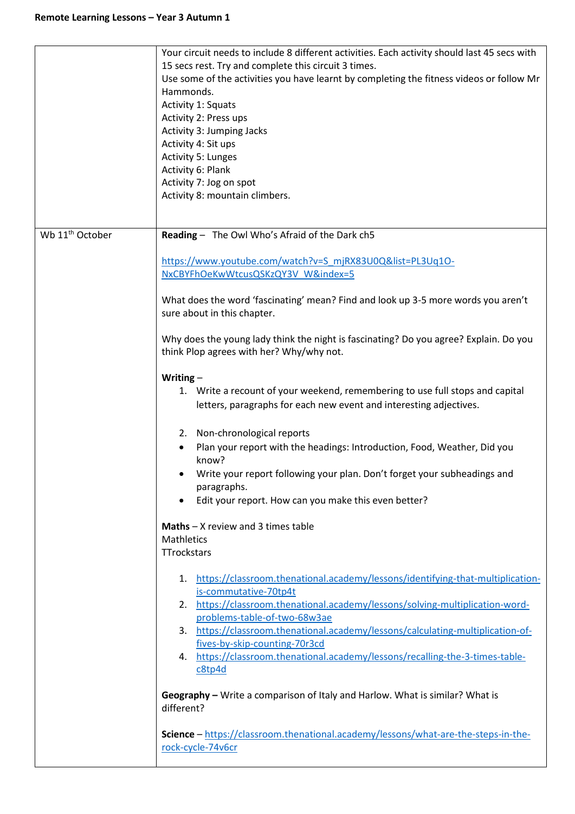|                             | Your circuit needs to include 8 different activities. Each activity should last 45 secs with<br>15 secs rest. Try and complete this circuit 3 times.<br>Use some of the activities you have learnt by completing the fitness videos or follow Mr<br>Hammonds.<br>Activity 1: Squats<br>Activity 2: Press ups<br>Activity 3: Jumping Jacks<br>Activity 4: Sit ups<br><b>Activity 5: Lunges</b><br>Activity 6: Plank<br>Activity 7: Jog on spot<br>Activity 8: mountain climbers.                                                                                                                                                                                                                                                                                                                                                                                                                                                                                                                                                                                                                                                                                                                                                                                                                                                                                                                                     |
|-----------------------------|---------------------------------------------------------------------------------------------------------------------------------------------------------------------------------------------------------------------------------------------------------------------------------------------------------------------------------------------------------------------------------------------------------------------------------------------------------------------------------------------------------------------------------------------------------------------------------------------------------------------------------------------------------------------------------------------------------------------------------------------------------------------------------------------------------------------------------------------------------------------------------------------------------------------------------------------------------------------------------------------------------------------------------------------------------------------------------------------------------------------------------------------------------------------------------------------------------------------------------------------------------------------------------------------------------------------------------------------------------------------------------------------------------------------|
| Wb 11 <sup>th</sup> October | Reading - The Owl Who's Afraid of the Dark ch5<br>https://www.youtube.com/watch?v=S mjRX83U0Q&list=PL3Uq10-<br>NxCBYFhOeKwWtcusQSKzQY3V W&index=5<br>What does the word 'fascinating' mean? Find and look up 3-5 more words you aren't<br>sure about in this chapter.<br>Why does the young lady think the night is fascinating? Do you agree? Explain. Do you<br>think Plop agrees with her? Why/why not.<br>Writing $-$<br>1. Write a recount of your weekend, remembering to use full stops and capital<br>letters, paragraphs for each new event and interesting adjectives.<br>2. Non-chronological reports<br>Plan your report with the headings: Introduction, Food, Weather, Did you<br>$\bullet$<br>know?<br>Write your report following your plan. Don't forget your subheadings and<br>paragraphs.<br>Edit your report. How can you make this even better?<br>$\bullet$<br><b>Maths</b> $- X$ review and 3 times table<br><b>Mathletics</b><br>TTrockstars<br>1. https://classroom.thenational.academy/lessons/identifying-that-multiplication-<br>is-commutative-70tp4t<br>2. https://classroom.thenational.academy/lessons/solving-multiplication-word-<br>problems-table-of-two-68w3ae<br>3. https://classroom.thenational.academy/lessons/calculating-multiplication-of-<br>fives-by-skip-counting-70r3cd<br>4. https://classroom.thenational.academy/lessons/recalling-the-3-times-table-<br>c8tp4d |
|                             | Geography - Write a comparison of Italy and Harlow. What is similar? What is<br>different?<br>Science - https://classroom.thenational.academy/lessons/what-are-the-steps-in-the-<br>rock-cycle-74v6cr                                                                                                                                                                                                                                                                                                                                                                                                                                                                                                                                                                                                                                                                                                                                                                                                                                                                                                                                                                                                                                                                                                                                                                                                               |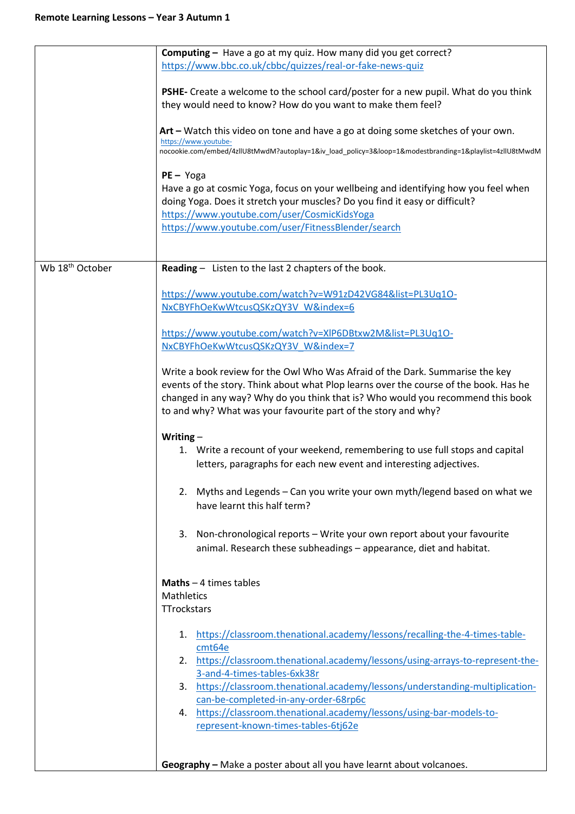|                             | <b>Computing - Have a go at my quiz. How many did you get correct?</b>                                  |
|-----------------------------|---------------------------------------------------------------------------------------------------------|
|                             | https://www.bbc.co.uk/cbbc/quizzes/real-or-fake-news-quiz                                               |
|                             |                                                                                                         |
|                             | PSHE- Create a welcome to the school card/poster for a new pupil. What do you think                     |
|                             | they would need to know? How do you want to make them feel?                                             |
|                             |                                                                                                         |
|                             | Art – Watch this video on tone and have a go at doing some sketches of your own.                        |
|                             | https://www.youtube-                                                                                    |
|                             | nocookie.com/embed/4zllU8tMwdM?autoplay=1&iv_load_policy=3&loop=1&modestbranding=1&playlist=4zllU8tMwdM |
|                             |                                                                                                         |
|                             | $PE - Yoga$                                                                                             |
|                             | Have a go at cosmic Yoga, focus on your wellbeing and identifying how you feel when                     |
|                             |                                                                                                         |
|                             | doing Yoga. Does it stretch your muscles? Do you find it easy or difficult?                             |
|                             | https://www.youtube.com/user/CosmicKidsYoga                                                             |
|                             | https://www.youtube.com/user/FitnessBlender/search                                                      |
|                             |                                                                                                         |
|                             |                                                                                                         |
| Wb 18 <sup>th</sup> October | Reading - Listen to the last 2 chapters of the book.                                                    |
|                             |                                                                                                         |
|                             | https://www.youtube.com/watch?v=W91zD42VG84&list=PL3Uq1O-                                               |
|                             |                                                                                                         |
|                             | NxCBYFhOeKwWtcusQSKzQY3V W&index=6                                                                      |
|                             |                                                                                                         |
|                             | https://www.youtube.com/watch?v=XIP6DBtxw2M&list=PL3Uq1O-                                               |
|                             | NxCBYFhOeKwWtcusQSKzQY3V_W&index=7                                                                      |
|                             |                                                                                                         |
|                             | Write a book review for the Owl Who Was Afraid of the Dark. Summarise the key                           |
|                             |                                                                                                         |
|                             | events of the story. Think about what Plop learns over the course of the book. Has he                   |
|                             | changed in any way? Why do you think that is? Who would you recommend this book                         |
|                             | to and why? What was your favourite part of the story and why?                                          |
|                             |                                                                                                         |
|                             | Writing $-$                                                                                             |
|                             | 1. Write a recount of your weekend, remembering to use full stops and capital                           |
|                             | letters, paragraphs for each new event and interesting adjectives.                                      |
|                             |                                                                                                         |
|                             |                                                                                                         |
|                             | 2. Myths and Legends - Can you write your own myth/legend based on what we                              |
|                             | have learnt this half term?                                                                             |
|                             |                                                                                                         |
|                             |                                                                                                         |
|                             | 3. Non-chronological reports - Write your own report about your favourite                               |
|                             | animal. Research these subheadings - appearance, diet and habitat.                                      |
|                             |                                                                                                         |
|                             |                                                                                                         |
|                             | <b>Maths</b> $-4$ times tables                                                                          |
|                             | <b>Mathletics</b>                                                                                       |
|                             | TTrockstars                                                                                             |
|                             |                                                                                                         |
|                             | 1. https://classroom.thenational.academy/lessons/recalling-the-4-times-table-                           |
|                             |                                                                                                         |
|                             | cmt64e                                                                                                  |
|                             | 2. https://classroom.thenational.academy/lessons/using-arrays-to-represent-the-                         |
|                             | 3-and-4-times-tables-6xk38r                                                                             |
|                             | 3. https://classroom.thenational.academy/lessons/understanding-multiplication-                          |
|                             | can-be-completed-in-any-order-68rp6c                                                                    |
|                             | 4. https://classroom.thenational.academy/lessons/using-bar-models-to-                                   |
|                             | represent-known-times-tables-6tj62e                                                                     |
|                             |                                                                                                         |
|                             |                                                                                                         |
|                             |                                                                                                         |
|                             | Geography - Make a poster about all you have learnt about volcanoes.                                    |
|                             |                                                                                                         |